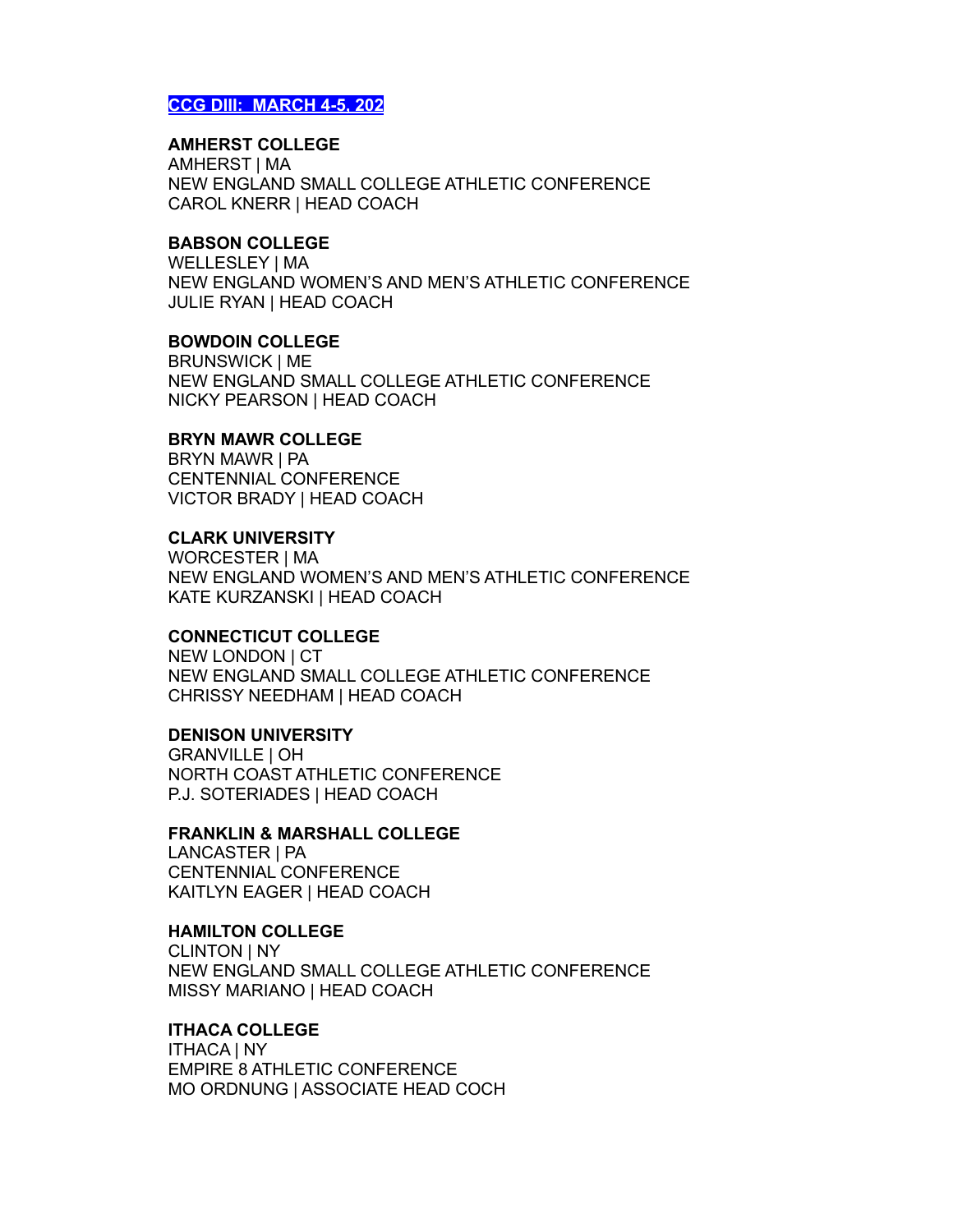### **CCG DIII: MARCH 4-5, 2023**

#### **AMHERST COLLEGE**

AMHERST | MA NEW ENGLAND SMALL COLLEGE ATHLETIC CONFERENCE CAROL KNERR | HEAD COACH

### **BABSON COLLEGE**

WELLESLEY | MA NEW ENGLAND WOMEN'S AND MEN'S ATHLETIC CONFERENCE JULIE RYAN | HEAD COACH

### **BOWDOIN COLLEGE**

BRUNSWICK | ME NEW ENGLAND SMALL COLLEGE ATHLETIC CONFERENCE NICKY PEARSON | HEAD COACH

#### **BRYN MAWR COLLEGE**

BRYN MAWR | PA CENTENNIAL CONFERENCE VICTOR BRADY | HEAD COACH

### **CLARK UNIVERSITY**

WORCESTER | MA NEW ENGLAND WOMEN'S AND MEN'S ATHLETIC CONFERENCE KATE KURZANSKI | HEAD COACH

### **CONNECTICUT COLLEGE**

NEW LONDON | CT NEW ENGLAND SMALL COLLEGE ATHLETIC CONFERENCE CHRISSY NEEDHAM | HEAD COACH

#### **DENISON UNIVERSITY**

GRANVILLE | OH NORTH COAST ATHLETIC CONFERENCE P.J. SOTERIADES | HEAD COACH

### **FRANKLIN & MARSHALL COLLEGE**

LANCASTER | PA CENTENNIAL CONFERENCE KAITLYN EAGER | HEAD COACH

### **HAMILTON COLLEGE**

CLINTON | NY NEW ENGLAND SMALL COLLEGE ATHLETIC CONFERENCE MISSY MARIANO | HEAD COACH

# **ITHACA COLLEGE**

ITHACA | NY EMPIRE 8 ATHLETIC CONFERENCE MO ORDNUNG | ASSOCIATE HEAD COCH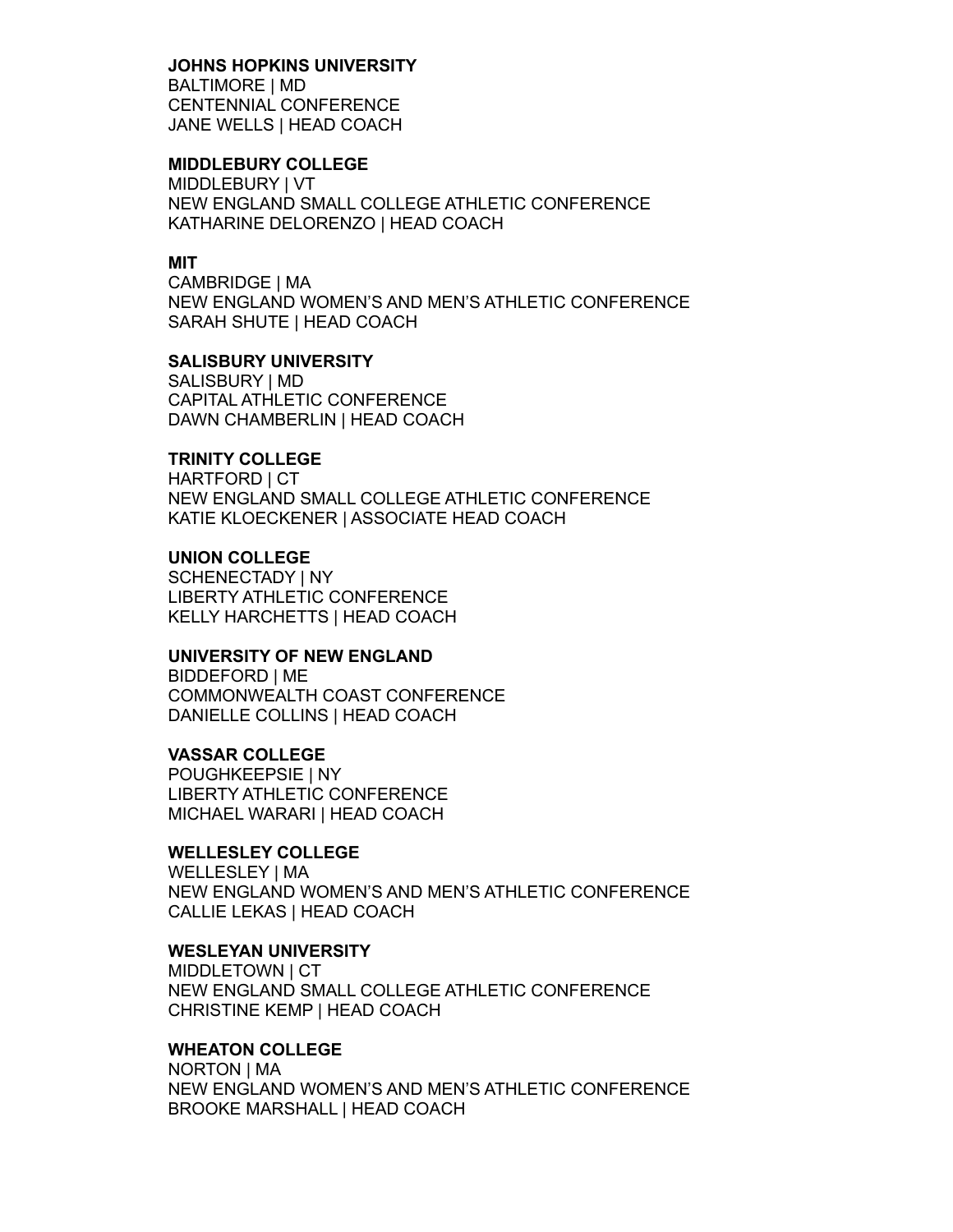#### **JOHNS HOPKINS UNIVERSITY**

BALTIMORE | MD CENTENNIAL CONFERENCE JANE WELLS | HEAD COACH

### **MIDDLEBURY COLLEGE**

MIDDLEBURY | VT NEW ENGLAND SMALL COLLEGE ATHLETIC CONFERENCE KATHARINE DELORENZO | HEAD COACH

#### **MIT**

CAMBRIDGE | MA NEW ENGLAND WOMEN'S AND MEN'S ATHLETIC CONFERENCE SARAH SHUTE | HEAD COACH

# **SALISBURY UNIVERSITY**

SALISBURY | MD CAPITAL ATHLETIC CONFERENCE DAWN CHAMBERLIN | HEAD COACH

#### **TRINITY COLLEGE**

HARTFORD | CT NEW ENGLAND SMALL COLLEGE ATHLETIC CONFERENCE KATIE KLOECKENER | ASSOCIATE HEAD COACH

### **UNION COLLEGE**

SCHENECTADY | NY LIBERTY ATHLETIC CONFERENCE KELLY HARCHETTS | HEAD COACH

### **UNIVERSITY OF NEW ENGLAND**

BIDDEFORD | ME COMMONWEALTH COAST CONFERENCE DANIELLE COLLINS | HEAD COACH

### **VASSAR COLLEGE**

POUGHKEEPSIE | NY LIBERTY ATHLETIC CONFERENCE MICHAEL WARARI | HEAD COACH

### **WELLESLEY COLLEGE**

WELLESLEY | MA NEW ENGLAND WOMEN'S AND MEN'S ATHLETIC CONFERENCE CALLIE LEKAS | HEAD COACH

#### **WESLEYAN UNIVERSITY**

MIDDLETOWN | CT NEW ENGLAND SMALL COLLEGE ATHLETIC CONFERENCE CHRISTINE KEMP | HEAD COACH

### **WHEATON COLLEGE**

NORTON | MA NEW ENGLAND WOMEN'S AND MEN'S ATHLETIC CONFERENCE BROOKE MARSHALL | HEAD COACH